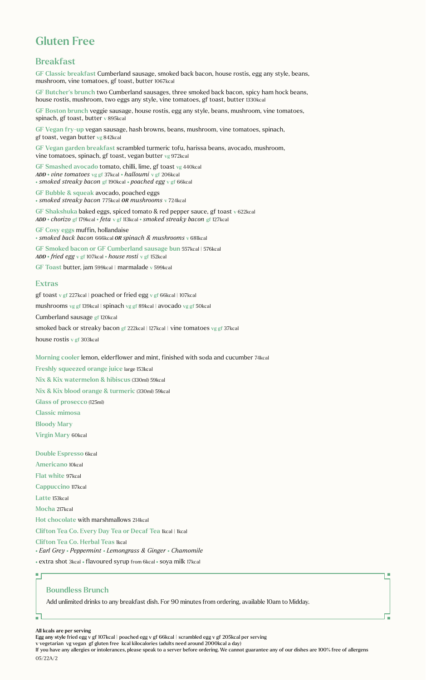# Gluten Free

# Breakfast

GF Classic breakfast Cumberland sausage, smoked back bacon, house rostis, egg any style, beans, mushroom, vine tomatoes, gf toast, butter 1067kcal

GF Butcher's brunch two Cumberland sausages, three smoked back bacon, spicy ham hock beans, house rostis, mushroom, two eggs any style, vine tomatoes, gf toast, butter 1330kcal

GF Boston brunch veggie sausage, house rostis, egg any style, beans, mushroom, vine tomatoes, spinach, gf toast, butter v 895kcal

GF Vegan fry-up vegan sausage, hash browns, beans, mushroom, vine tomatoes, spinach, gf toast, vegan butter vg 842kcal

GF Vegan garden breakfast scrambled turmeric tofu, harissa beans, avocado, mushroom, vine tomatoes, spinach, gf toast, vegan butter vg 972kcal

GF Smashed avocado tomato, chilli, lime, gf toast vg 440kcal *ADD vine tomatoes* vg gf 37kcal *halloumi* v gf 206kcal  *smoked streaky bacon* gf 190kcal *poached egg* v gf 66kcal

GF Bubble & squeak avocado, poached eggs *smoked streaky bacon* 775kcal *OR mushrooms* v 724kcal

GF Shakshuka baked eggs, spiced tomato & red pepper sauce, gf toast v 622kcal *ADD chorizo* gf 179kcal *feta* v gf 113kcal *smoked streaky bacon* gf 127kcal

GF Cosy eggs muffin, hollandaise

 *smoked back bacon* 666kcal *OR spinach & mushrooms* v 681kcal

GF Smoked bacon or GF Cumberland sausage bun 557kcal | 576kcal *ADD fried egg* v gf 107kcal *house rosti* v gf 152kcal

GF Toast butter, jam 599kcal | marmalade v 599kcal

### Extras

gf toast v gf 227kcal | poached or fried egg v gf 66kcal | 107kcal mushrooms vg gf 139kcal | spinach vg gf 89kcal | avocado vg gf 50kcal Cumberland sausage gf 120kcal smoked back or streaky bacon gf 222kcal | 127kcal | vine tomatoes vg gf 37kcal house rostis v gf 303kcal

#### Morning cooler lemon, elderflower and mint, finished with soda and cucumber 74kcal

Freshly squeezed orange juice large 153kcal Nix & Kix watermelon & hibiscus (330ml) 59kcal Nix & Kix blood orange & turmeric (330ml) 59kcal Glass of prosecco (125ml) Classic mimosa Bloody Mary Virgin Mary 60kcal

Double Espresso 6kcal

Americano 10kcal

Flat white 97kcal

Cappuccino 117kcal

Latte 153kcal

 $\blacksquare$ 

Mocha 217kcal

#### Hot chocolate with marshmallows 214kcal

Clifton Tea Co. Every Day Tea or Decaf Tea Ikcal | 1kcal

Clifton Tea Co. Herbal Teas 1kcal

 *Earl Grey Peppermint Lemongrass & Ginger Chamomile* 

• extra shot 3kcal • flavoured syrup from 6kcal • soya milk 17kcal

## Boundless Brunch

Add unlimited drinks to any breakfast dish. For 90 minutes from ordering, available 10am to Midday.

All kcals are per serving

If you have any allergies or intolerances, please speak to a server before ordering. We cannot guarantee any of our dishes are 100% free of allergens 05/22A/2

×

Egg any style fried egg v gf 107kcal | poached egg v gf 66kcal | scrambled egg v gf 205kcal per serving

v vegetarian vg vegan gf gluten free kcal kilocalories (adults need around 2000kcal a day)